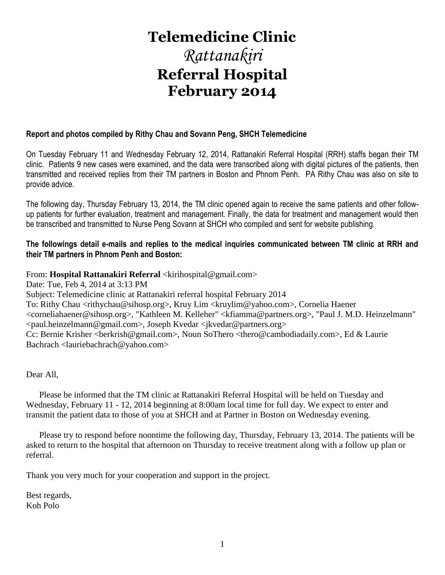# **Telemedicine Clinic**

# *Rattanakiri* **Referral Hospital February 2014**

# **Report and photos compiled by Rithy Chau and Sovann Peng, SHCH Telemedicine**

On Tuesday February 11 and Wednesday February 12, 2014, Rattanakiri Referral Hospital (RRH) staffs began their TM clinic. Patients 9 new cases were examined, and the data were transcribed along with digital pictures of the patients, then transmitted and received replies from their TM partners in Boston and Phnom Penh. PA Rithy Chau was also on site to provide advice.

The following day, Thursday February 13, 2014, the TM clinic opened again to receive the same patients and other followup patients for further evaluation, treatment and management. Finally, the data for treatment and management would then be transcribed and transmitted to Nurse Peng Sovann at SHCH who compiled and sent for website publishing.

# **The followings detail e-mails and replies to the medical inquiries communicated between TM clinic at RRH and their TM partners in Phnom Penh and Boston:**

# From: Hospital Rattanakiri Referral <kirihospital@gmail.com>

Date: Tue, Feb 4, 2014 at 3:13 PM Subject: Telemedicine clinic at Rattanakiri referral hospital February 2014 To: Rithy Chau <rithychau@sihosp.org>, Kruy Lim <kruylim@yahoo.com>, Cornelia Haener <corneliahaener@sihosp.org>, "Kathleen M. Kelleher" <kfiamma@partners.org>, "Paul J. M.D. Heinzelmann" <paul.heinzelmann@gmail.com>, Joseph Kvedar <jkvedar@partners.org> Cc: Bernie Krisher <br/> <br/>berkrish@gmail.com>, Noun SoThero <thero@cambodiadaily.com>, Ed & Laurie Bachrach <lauriebachrach@yahoo.com>

Dear All,

 Please be informed that the TM clinic at Rattanakiri Referral Hospital will be held on Tuesday and Wednesday, February 11 - 12, 2014 beginning at 8:00am local time for full day. We expect to enter and transmit the patient data to those of you at SHCH and at Partner in Boston on Wednesday evening.

 Please try to respond before noontime the following day, Thursday, February 13, 2014. The patients will be asked to return to the hospital that afternoon on Thursday to receive treatment along with a follow up plan or referral.

Thank you very much for your cooperation and support in the project.

Best regards, Koh Polo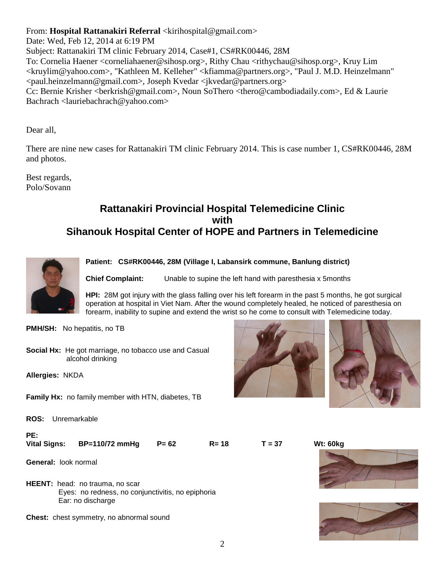From: **Hospital Rattanakiri Referral** <kirihospital@gmail.com>

Date: Wed, Feb 12, 2014 at 6:19 PM Subject: Rattanakiri TM clinic February 2014, Case#1, CS#RK00446, 28M

To: Cornelia Haener <corneliahaener@sihosp.org>, Rithy Chau <rithychau@sihosp.org>, Kruy Lim <kruylim@yahoo.com>, "Kathleen M. Kelleher" <kfiamma@partners.org>, "Paul J. M.D. Heinzelmann" <paul.heinzelmann@gmail.com>, Joseph Kvedar <jkvedar@partners.org> Cc: Bernie Krisher <berkrish@gmail.com>, Noun SoThero <thero@cambodiadaily.com>, Ed & Laurie Bachrach <lauriebachrach@yahoo.com>

Dear all,

There are nine new cases for Rattanakiri TM clinic February 2014. This is case number 1, CS#RK00446, 28M and photos.

Best regards, Polo/Sovann

# **Rattanakiri Provincial Hospital Telemedicine Clinic with Sihanouk Hospital Center of HOPE and Partners in Telemedicine**



**Patient: CS#RK00446, 28M (Village I, Labansirk commune, Banlung district)**

**Chief Complaint:** Unable to supine the left hand with paresthesia x 5months

**HPI:** 28M got injury with the glass falling over his left forearm in the past 5 months, he got surgical operation at hospital in Viet Nam. After the wound completely healed, he noticed of paresthesia on forearm, inability to supine and extend the wrist so he come to consult with Telemedicine today.

**PMH/SH:** No hepatitis, no TB

**Social Hx:** He got marriage, no tobacco use and Casual alcohol drinking

**Allergies:** NKDA

**Family Hx:** no family member with HTN, diabetes, TB

**ROS:** Unremarkable

**PE: Vital Signs: BP=110/72 mmHg P= 62 R= 18 T = 37 Wt: 60kg**

**General:** look normal

**HEENT:** head: no trauma, no scar Eyes: no redness, no conjunctivitis, no epiphoria Ear: no discharge

**Chest:** chest symmetry, no abnormal sound





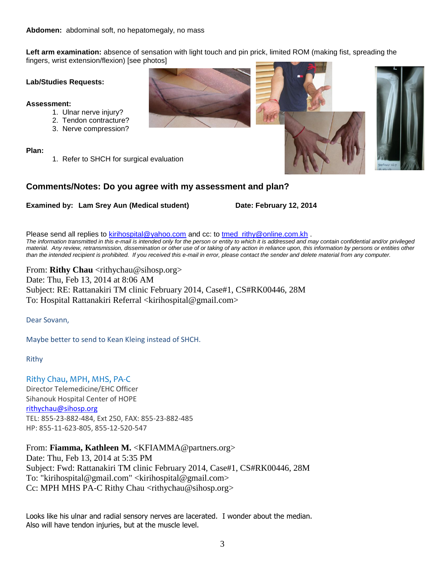**Left arm examination:** absence of sensation with light touch and pin prick, limited ROM (making fist, spreading the fingers, wrist extension/flexion) [see photos]

#### **Lab/Studies Requests:**

#### **Assessment:**

- 1. Ulnar nerve injury?
- 2. Tendon contracture?
- 3. Nerve compression?

**Plan:**

1. Refer to SHCH for surgical evaluation

### **Comments/Notes: Do you agree with my assessment and plan?**

### **Examined by: Lam Srey Aun (Medical student) Date: February 12, 2014**

Please send all replies to [kirihospital@yahoo.com](mailto:kirihospital@yahoo.com) and cc: to tmed rithy@online.com.kh . *The information transmitted in this e-mail is intended only for the person or entity to which it is addressed and may contain confidential and/or privileged material. Any review, retransmission, dissemination or other use of or taking of any action in reliance upon, this information by persons or entities other than the intended recipient is prohibited. If you received this e-mail in error, please contact the sender and delete material from any computer.*

From: **Rithy Chau** <rithychau@sihosp.org> Date: Thu, Feb 13, 2014 at 8:06 AM Subject: RE: Rattanakiri TM clinic February 2014, Case#1, CS#RK00446, 28M To: Hospital Rattanakiri Referral <kirihospital@gmail.com>

Dear Sovann,

Maybe better to send to Kean Kleing instead of SHCH.

Rithy

Rithy Chau, MPH, MHS, PA-C Director Telemedicine/EHC Officer Sihanouk Hospital Center of HOPE [rithychau@sihosp.org](mailto:rithychau@sihosp.org) TEL: 855-23-882-484, Ext 250, FAX: 855-23-882-485 HP: 855-11-623-805, 855-12-520-547

From: **Fiamma, Kathleen M.** <KFIAMMA@partners.org>

Date: Thu, Feb 13, 2014 at 5:35 PM Subject: Fwd: Rattanakiri TM clinic February 2014, Case#1, CS#RK00446, 28M To: "kirihospital@gmail.com" <kirihospital@gmail.com> Cc: MPH MHS PA-C Rithy Chau <rithychau@sihosp.org>

Looks like his ulnar and radial sensory nerves are lacerated. I wonder about the median. Also will have tendon injuries, but at the muscle level.



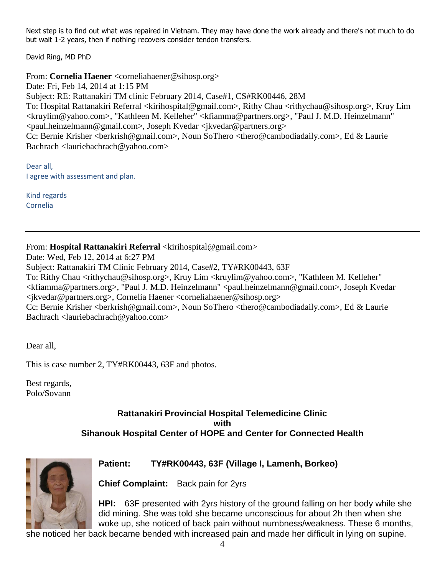Next step is to find out what was repaired in Vietnam. They may have done the work already and there's not much to do but wait 1-2 years, then if nothing recovers consider tendon transfers.

David Ring, MD PhD

From: **Cornelia Haener** <corneliahaener@sihosp.org>

Date: Fri, Feb 14, 2014 at 1:15 PM Subject: RE: Rattanakiri TM clinic February 2014, Case#1, CS#RK00446, 28M To: Hospital Rattanakiri Referral <kirihospital@gmail.com>, Rithy Chau <rithychau@sihosp.org>, Kruy Lim <kruylim@yahoo.com>, "Kathleen M. Kelleher" <kfiamma@partners.org>, "Paul J. M.D. Heinzelmann" <paul.heinzelmann@gmail.com>, Joseph Kvedar <jkvedar@partners.org> Cc: Bernie Krisher <br/> <br/>berkrish@gmail.com>, Noun SoThero <thero@cambodiadaily.com>, Ed & Laurie Bachrach <lauriebachrach@yahoo.com>

Dear all, I agree with assessment and plan.

Kind regards Cornelia

From: Hospital Rattanakiri Referral <kirihospital@gmail.com>

Date: Wed, Feb 12, 2014 at 6:27 PM

Subject: Rattanakiri TM Clinic February 2014, Case#2, TY#RK00443, 63F

To: Rithy Chau <rithychau@sihosp.org>, Kruy Lim <kruylim@yahoo.com>, "Kathleen M. Kelleher" <kfiamma@partners.org>, "Paul J. M.D. Heinzelmann" <paul.heinzelmann@gmail.com>, Joseph Kvedar <jkvedar@partners.org>, Cornelia Haener <corneliahaener@sihosp.org>

Cc: Bernie Krisher <br/>berkrish@gmail.com>, Noun SoThero <thero@cambodiadaily.com>, Ed & Laurie Bachrach <lauriebachrach@yahoo.com>

Dear all,

This is case number 2, TY#RK00443, 63F and photos.

Best regards, Polo/Sovann

# **Rattanakiri Provincial Hospital Telemedicine Clinic with Sihanouk Hospital Center of HOPE and Center for Connected Health**



**Patient: TY#RK00443, 63F (Village I, Lamenh, Borkeo)** 

**Chief Complaint:** Back pain for 2yrs

**HPI:** 63F presented with 2yrs history of the ground falling on her body while she did mining. She was told she became unconscious for about 2h then when she woke up, she noticed of back pain without numbness/weakness. These 6 months,

she noticed her back became bended with increased pain and made her difficult in lying on supine.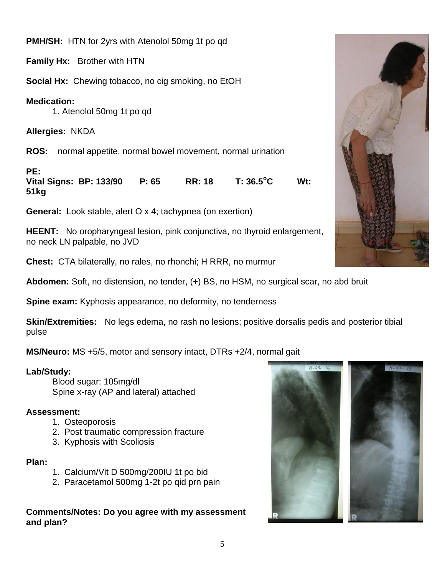**PMH/SH:** HTN for 2yrs with Atenolol 50mg 1t po qd

**Family Hx:** Brother with HTN

**Social Hx:** Chewing tobacco, no cig smoking, no EtOH

# **Medication:**

1. Atenolol 50mg 1t po qd

**Allergies:** NKDA

**ROS:** normal appetite, normal bowel movement, normal urination

**PE:**

**Vital Signs: BP: 133/90 P: 65 RR: 18 T: 36.5<sup>o</sup>C Wt: 51kg** 

**General:** Look stable, alert O x 4; tachypnea (on exertion)

**HEENT:** No oropharyngeal lesion, pink conjunctiva, no thyroid enlargement, no neck LN palpable, no JVD

**Chest:** CTA bilaterally, no rales, no rhonchi; H RRR, no murmur

**Abdomen:** Soft, no distension, no tender, (+) BS, no HSM, no surgical scar, no abd bruit

**Spine exam:** Kyphosis appearance, no deformity, no tenderness

**Skin/Extremities:** No legs edema, no rash no lesions; positive dorsalis pedis and posterior tibial pulse

**MS/Neuro:** MS +5/5, motor and sensory intact, DTRs +2/4, normal gait

# **Lab/Study:**

Blood sugar: 105mg/dl Spine x-ray (AP and lateral) attached

# **Assessment:**

- 1. Osteoporosis
- 2. Post traumatic compression fracture
- 3. Kyphosis with Scoliosis

# **Plan:**

- 1. Calcium/Vit D 500mg/200IU 1t po bid
- 2. Paracetamol 500mg 1-2t po qid prn pain

**Comments/Notes: Do you agree with my assessment and plan?**



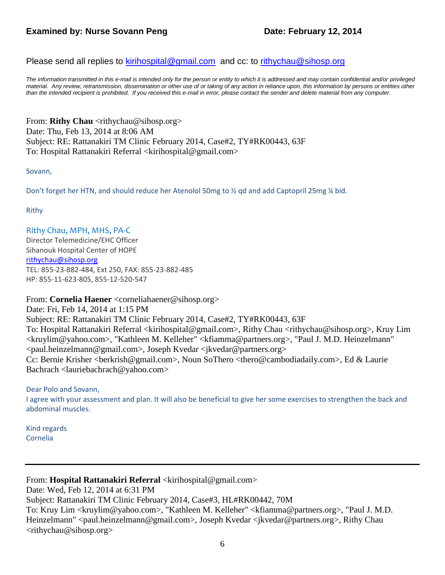# **Examined by: Nurse Sovann Peng Date: February 12, 2014**

Please send all replies to [kirihospital@gmail.com](mailto:kirihospital@gmail.com) and cc: to [rithychau@sihosp.org](mailto:rithychau@sihosp.org)

*The information transmitted in this e-mail is intended only for the person or entity to which it is addressed and may contain confidential and/or privileged material. Any review, retransmission, dissemination or other use of or taking of any action in reliance upon, this information by persons or entities other than the intended recipient is prohibited. If you received this e-mail in error, please contact the sender and delete material from any computer.*

From: **Rithy Chau** <rithychau@sihosp.org> Date: Thu, Feb 13, 2014 at 8:06 AM Subject: RE: Rattanakiri TM Clinic February 2014, Case#2, TY#RK00443, 63F To: Hospital Rattanakiri Referral <kirihospital@gmail.com>

Sovann,

Don't forget her HTN, and should reduce her Atenolol 50mg to ½ qd and add Captopril 25mg ¼ bid.

Rithy

#### Rithy Chau, MPH, MHS, PA-C

Director Telemedicine/EHC Officer Sihanouk Hospital Center of HOPE [rithychau@sihosp.org](mailto:rithychau@sihosp.org) TEL: 855-23-882-484, Ext 250, FAX: 855-23-882-485 HP: 855-11-623-805, 855-12-520-547

From: **Cornelia Haener** <corneliahaener@sihosp.org>

Date: Fri, Feb 14, 2014 at 1:15 PM Subject: RE: Rattanakiri TM Clinic February 2014, Case#2, TY#RK00443, 63F To: Hospital Rattanakiri Referral <kirihospital@gmail.com>, Rithy Chau <rithychau@sihosp.org>, Kruy Lim <kruylim@yahoo.com>, "Kathleen M. Kelleher" <kfiamma@partners.org>, "Paul J. M.D. Heinzelmann" <paul.heinzelmann@gmail.com>, Joseph Kvedar <jkvedar@partners.org> Cc: Bernie Krisher <br/> <br/>berkrish@gmail.com>, Noun SoThero <thero@cambodiadaily.com>, Ed & Laurie Bachrach <lauriebachrach@yahoo.com>

Dear Polo and Sovann, I agree with your assessment and plan. It will also be beneficial to give her some exercises to strengthen the back and abdominal muscles.

Kind regards Cornelia

From: **Hospital Rattanakiri Referral** <kirihospital@gmail.com>

Date: Wed, Feb 12, 2014 at 6:31 PM

Subject: Rattanakiri TM Clinic February 2014, Case#3, HL#RK00442, 70M

To: Kruy Lim <kruylim@yahoo.com>, "Kathleen M. Kelleher" <kfiamma@partners.org>, "Paul J. M.D. Heinzelmann" <paul.heinzelmann@gmail.com>, Joseph Kvedar <jkvedar@partners.org>, Rithy Chau <rithychau@sihosp.org>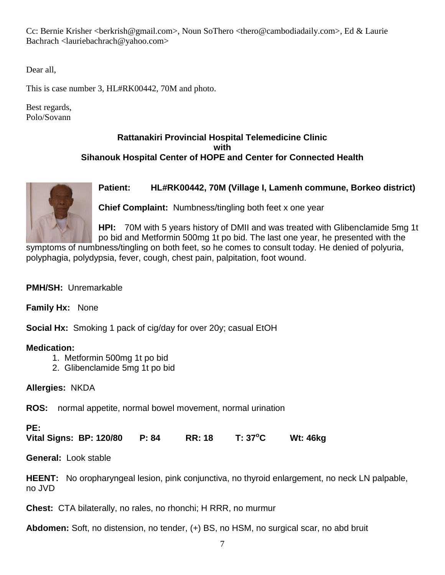Cc: Bernie Krisher <berkrish@gmail.com>, Noun SoThero <thero@cambodiadaily.com>, Ed & Laurie Bachrach <lauriebachrach@yahoo.com>

Dear all,

This is case number 3, HL#RK00442, 70M and photo.

Best regards, Polo/Sovann

# **Rattanakiri Provincial Hospital Telemedicine Clinic with Sihanouk Hospital Center of HOPE and Center for Connected Health**



**Patient: HL#RK00442, 70M (Village I, Lamenh commune, Borkeo district)** 

**Chief Complaint:** Numbness/tingling both feet x one year

**HPI:** 70M with 5 years history of DMII and was treated with Glibenclamide 5mg 1t po bid and Metformin 500mg 1t po bid. The last one year, he presented with the

symptoms of numbness/tingling on both feet, so he comes to consult today. He denied of polyuria, polyphagia, polydypsia, fever, cough, chest pain, palpitation, foot wound.

**PMH/SH:** Unremarkable

**Family Hx:** None

**Social Hx:** Smoking 1 pack of cig/day for over 20y; casual EtOH

# **Medication:**

- 1. Metformin 500mg 1t po bid
- 2. Glibenclamide 5mg 1t po bid

**Allergies:** NKDA

**ROS:** normal appetite, normal bowel movement, normal urination

# **PE:**

**Vital Signs: BP: 120/80 P: 84 RR: 18 T: 37<sup>o</sup>C Wt: 46kg** 

**General:** Look stable

**HEENT:** No oropharyngeal lesion, pink conjunctiva, no thyroid enlargement, no neck LN palpable, no JVD

**Chest:** CTA bilaterally, no rales, no rhonchi; H RRR, no murmur

**Abdomen:** Soft, no distension, no tender, (+) BS, no HSM, no surgical scar, no abd bruit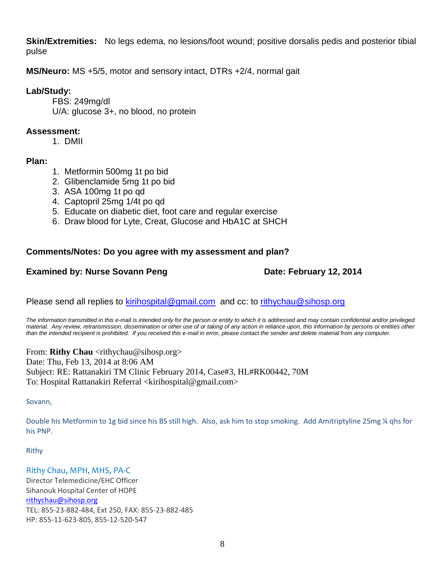**Skin/Extremities:** No legs edema, no lesions/foot wound; positive dorsalis pedis and posterior tibial pulse

**MS/Neuro:** MS +5/5, motor and sensory intact, DTRs +2/4, normal gait

# **Lab/Study:**

FBS: 249mg/dl U/A: glucose 3+, no blood, no protein

# **Assessment:**

1. DMII

# **Plan:**

- 1. Metformin 500mg 1t po bid
- 2. Glibenclamide 5mg 1t po bid
- 3. ASA 100mg 1t po qd
- 4. Captopril 25mg 1/4t po qd
- 5. Educate on diabetic diet, foot care and regular exercise
- 6. Draw blood for Lyte, Creat, Glucose and HbA1C at SHCH

# **Comments/Notes: Do you agree with my assessment and plan?**

# **Examined by: Nurse Sovann Peng Date: February 12, 2014**

Please send all replies to [kirihospital@gmail.com](mailto:kirihospital@gmail.com) and cc: to [rithychau@sihosp.org](mailto:rithychau@sihosp.org)

*The information transmitted in this e-mail is intended only for the person or entity to which it is addressed and may contain confidential and/or privileged material. Any review, retransmission, dissemination or other use of or taking of any action in reliance upon, this information by persons or entities other than the intended recipient is prohibited. If you received this e-mail in error, please contact the sender and delete material from any computer.*

From: **Rithy Chau** <rithychau@sihosp.org> Date: Thu, Feb 13, 2014 at 8:06 AM Subject: RE: Rattanakiri TM Clinic February 2014, Case#3, HL#RK00442, 70M To: Hospital Rattanakiri Referral <kirihospital@gmail.com>

Sovann,

Double his Metformin to 1g bid since his BS still high. Also, ask him to stop smoking. Add Amitriptyline 25mg ¼ qhs for his PNP.

Rithy

# Rithy Chau, MPH, MHS, PA-C

Director Telemedicine/EHC Officer Sihanouk Hospital Center of HOPE [rithychau@sihosp.org](mailto:rithychau@sihosp.org) TEL: 855-23-882-484, Ext 250, FAX: 855-23-882-485 HP: 855-11-623-805, 855-12-520-547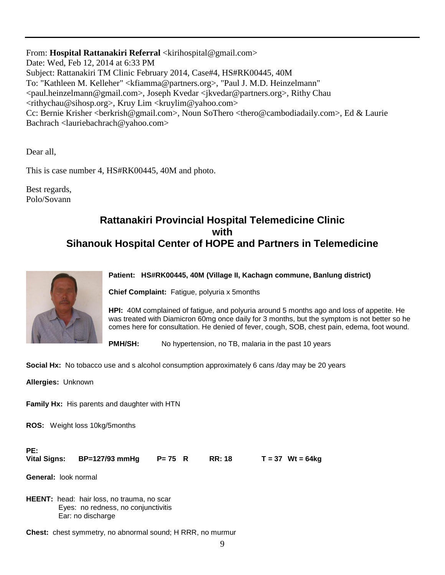From: Hospital Rattanakiri Referral <kirihospital@gmail.com> Date: Wed, Feb 12, 2014 at 6:33 PM Subject: Rattanakiri TM Clinic February 2014, Case#4, HS#RK00445, 40M To: "Kathleen M. Kelleher" <kfiamma@partners.org>, "Paul J. M.D. Heinzelmann" <paul.heinzelmann@gmail.com>, Joseph Kvedar <jkvedar@partners.org>, Rithy Chau <rithychau@sihosp.org>, Kruy Lim <kruylim@yahoo.com> Cc: Bernie Krisher <berkrish@gmail.com>, Noun SoThero <thero@cambodiadaily.com>, Ed & Laurie Bachrach <lauriebachrach@yahoo.com>

Dear all,

This is case number 4, HS#RK00445, 40M and photo.

Best regards, Polo/Sovann

# **Rattanakiri Provincial Hospital Telemedicine Clinic with Sihanouk Hospital Center of HOPE and Partners in Telemedicine**



#### **Patient: HS#RK00445, 40M (Village II, Kachagn commune, Banlung district)**

**Chief Complaint:** Fatigue, polyuria x 5months

**HPI:** 40M complained of fatigue, and polyuria around 5 months ago and loss of appetite. He was treated with Diamicron 60mg once daily for 3 months, but the symptom is not better so he comes here for consultation. He denied of fever, cough, SOB, chest pain, edema, foot wound.

**PMH/SH:** No hypertension, no TB, malaria in the past 10 years

**Social Hx:** No tobacco use and s alcohol consumption approximately 6 cans /day may be 20 years

**Allergies:** Unknown

**Family Hx:** His parents and daughter with HTN

**ROS:** Weight loss 10kg/5months

#### **PE:**

**Vital Signs: BP=127/93 mmHg P= 75 R RR: 18 T = 37 Wt = 64kg**

**General:** look normal

**HEENT:** head: hair loss, no trauma, no scar Eyes: no redness, no conjunctivitis Ear: no discharge

**Chest:** chest symmetry, no abnormal sound; H RRR, no murmur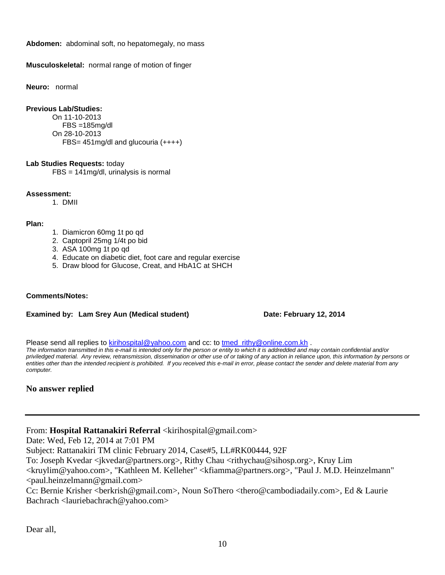**Abdomen:** abdominal soft, no hepatomegaly, no mass

**Musculoskeletal:** normal range of motion of finger

**Neuro:** normal

#### **Previous Lab/Studies:**

On 11-10-2013 FBS =185mg/dl On 28-10-2013 FBS= 451mg/dl and glucouria (++++)

#### **Lab Studies Requests:** today

FBS = 141mg/dl, urinalysis is normal

**Assessment:**

1. DMII

#### **Plan:**

- 1. Diamicron 60mg 1t po qd
- 2. Captopril 25mg 1/4t po bid
- 3. ASA 100mg 1t po qd
- 4. Educate on diabetic diet, foot care and regular exercise
- 5. Draw blood for Glucose, Creat, and HbA1C at SHCH

#### **Comments/Notes:**

#### **Examined by: Lam Srey Aun (Medical student) Date: February 12, 2014**

Please send all replies to [kirihospital@yahoo.com](mailto:kirihospital@yahoo.com) and cc: to tmed rithy@online.com.kh .

*The information transmitted in this e-mail is intended only for the person or entity to which it is addredded and may contain confidential and/or priviledged material. Any review, retransmission, dissemination or other use of or taking of any action in reliance upon, this information by persons or entities other than the intended recipient is prohibited. If you received this e-mail in error, please contact the sender and delete material from any computer.*

### **No answer replied**

From: Hospital Rattanakiri Referral <kirihospital@gmail.com>

Date: Wed, Feb 12, 2014 at 7:01 PM

Subject: Rattanakiri TM clinic February 2014, Case#5, LL#RK00444, 92F

To: Joseph Kvedar <jkvedar@partners.org>, Rithy Chau <rithychau@sihosp.org>, Kruy Lim

<kruylim@yahoo.com>, "Kathleen M. Kelleher" <kfiamma@partners.org>, "Paul J. M.D. Heinzelmann" <paul.heinzelmann@gmail.com>

Cc: Bernie Krisher <berkrish@gmail.com>, Noun SoThero <thero@cambodiadaily.com>, Ed & Laurie Bachrach <lauriebachrach@yahoo.com>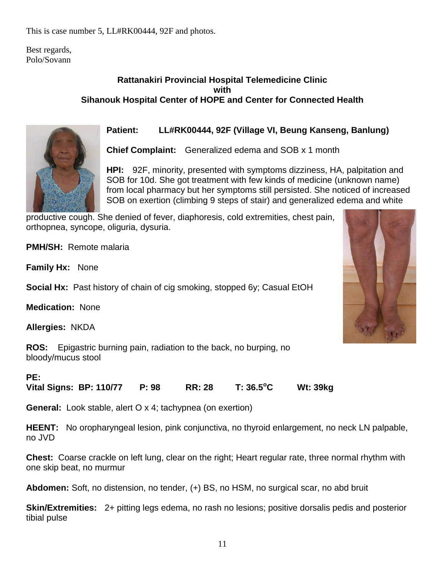This is case number 5, LL#RK00444, 92F and photos.

Best regards, Polo/Sovann

# **Rattanakiri Provincial Hospital Telemedicine Clinic with Sihanouk Hospital Center of HOPE and Center for Connected Health**



# **Patient: LL#RK00444, 92F (Village VI, Beung Kanseng, Banlung)**

**Chief Complaint:** Generalized edema and SOB x 1 month

**HPI:** 92F, minority, presented with symptoms dizziness, HA, palpitation and SOB for 10d. She got treatment with few kinds of medicine (unknown name) from local pharmacy but her symptoms still persisted. She noticed of increased SOB on exertion (climbing 9 steps of stair) and generalized edema and white

productive cough. She denied of fever, diaphoresis, cold extremities, chest pain, orthopnea, syncope, oliguria, dysuria.

**PMH/SH:** Remote malaria

**Family Hx:** None

**Social Hx:** Past history of chain of cig smoking, stopped 6y; Casual EtOH

**Medication:** None

**Allergies:** NKDA

**ROS:** Epigastric burning pain, radiation to the back, no burping, no bloody/mucus stool

# **PE:**

**Vital Signs: BP: 110/77 P: 98 RR: 28 T: 36.5<sup>o</sup>C Wt: 39kg** 

**General:** Look stable, alert O x 4; tachypnea (on exertion)

**HEENT:** No oropharyngeal lesion, pink conjunctiva, no thyroid enlargement, no neck LN palpable, no JVD

**Chest:** Coarse crackle on left lung, clear on the right; Heart regular rate, three normal rhythm with one skip beat, no murmur

**Abdomen:** Soft, no distension, no tender, (+) BS, no HSM, no surgical scar, no abd bruit

**Skin/Extremities:** 2+ pitting legs edema, no rash no lesions; positive dorsalis pedis and posterior tibial pulse

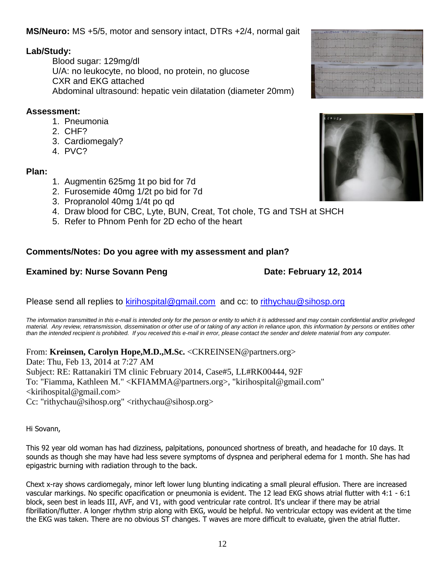**MS/Neuro:** MS +5/5, motor and sensory intact, DTRs +2/4, normal gait

# **Lab/Study:**

Blood sugar: 129mg/dl U/A: no leukocyte, no blood, no protein, no glucose CXR and EKG attached Abdominal ultrasound: hepatic vein dilatation (diameter 20mm)

# **Assessment:**

- 1. Pneumonia
- 2. CHF?
- 3. Cardiomegaly?
- 4. PVC?

# **Plan:**

- 1. Augmentin 625mg 1t po bid for 7d
- 2. Furosemide 40mg 1/2t po bid for 7d
- 3. Propranolol 40mg 1/4t po qd
- 4. Draw blood for CBC, Lyte, BUN, Creat, Tot chole, TG and TSH at SHCH
- 5. Refer to Phnom Penh for 2D echo of the heart

# **Comments/Notes: Do you agree with my assessment and plan?**

# **Examined by: Nurse Sovann Peng by a control of the Date: February 12, 2014**

Please send all replies to [kirihospital@gmail.com](mailto:kirihospital@gmail.com) and cc: to [rithychau@sihosp.org](mailto:rithychau@sihosp.org)

*The information transmitted in this e-mail is intended only for the person or entity to which it is addressed and may contain confidential and/or privileged material. Any review, retransmission, dissemination or other use of or taking of any action in reliance upon, this information by persons or entities other than the intended recipient is prohibited. If you received this e-mail in error, please contact the sender and delete material from any computer.*

From: **Kreinsen, Carolyn Hope,M.D.,M.Sc.** <CKREINSEN@partners.org> Date: Thu, Feb 13, 2014 at 7:27 AM Subject: RE: Rattanakiri TM clinic February 2014, Case#5, LL#RK00444, 92F To: "Fiamma, Kathleen M." <KFIAMMA@partners.org>, "kirihospital@gmail.com"  $\le$ kirihospital@gmail.com> Cc: "rithychau@sihosp.org" <rithychau@sihosp.org>

Hi Sovann,

This 92 year old woman has had dizziness, palpitations, ponounced shortness of breath, and headache for 10 days. It sounds as though she may have had less severe symptoms of dyspnea and peripheral edema for 1 month. She has had epigastric burning with radiation through to the back.

Chext x-ray shows cardiomegaly, minor left lower lung blunting indicating a small pleural effusion. There are increased vascular markings. No specific opacification or pneumonia is evident. The 12 lead EKG shows atrial flutter with 4:1 - 6:1 block, seen best in leads III, AVF, and V1, with good ventricular rate control. It's unclear if there may be atrial fibrillation/flutter. A longer rhythm strip along with EKG, would be helpful. No ventricular ectopy was evident at the time the EKG was taken. There are no obvious ST changes. T waves are more difficult to evaluate, given the atrial flutter.



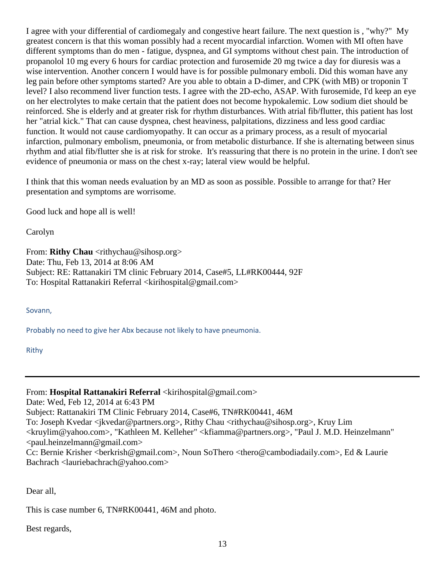I agree with your differential of cardiomegaly and congestive heart failure. The next question is , "why?" My greatest concern is that this woman possibly had a recent myocardial infarction. Women with MI often have different symptoms than do men - fatigue, dyspnea, and GI symptoms without chest pain. The introduction of propanolol 10 mg every 6 hours for cardiac protection and furosemide 20 mg twice a day for diuresis was a wise intervention. Another concern I would have is for possible pulmonary emboli. Did this woman have any leg pain before other symptoms started? Are you able to obtain a D-dimer, and CPK (with MB) or troponin T level? I also recommend liver function tests. I agree with the 2D-echo, ASAP. With furosemide, I'd keep an eye on her electrolytes to make certain that the patient does not become hypokalemic. Low sodium diet should be reinforced. She is elderly and at greater risk for rhythm disturbances. With atrial fib/flutter, this patient has lost her "atrial kick." That can cause dyspnea, chest heaviness, palpitations, dizziness and less good cardiac function. It would not cause cardiomyopathy. It can occur as a primary process, as a result of myocarial infarction, pulmonary embolism, pneumonia, or from metabolic disturbance. If she is alternating between sinus rhythm and atial fib/flutter she is at risk for stroke. It's reassuring that there is no protein in the urine. I don't see evidence of pneumonia or mass on the chest x-ray; lateral view would be helpful.

I think that this woman needs evaluation by an MD as soon as possible. Possible to arrange for that? Her presentation and symptoms are worrisome.

Good luck and hope all is well!

Carolyn

From: **Rithy Chau** <rithychau@sihosp.org> Date: Thu, Feb 13, 2014 at 8:06 AM Subject: RE: Rattanakiri TM clinic February 2014, Case#5, LL#RK00444, 92F To: Hospital Rattanakiri Referral <kirihospital@gmail.com>

Sovann,

Probably no need to give her Abx because not likely to have pneumonia.

Rithy

From: **Hospital Rattanakiri Referral** <kirihospital@gmail.com>

Date: Wed, Feb 12, 2014 at 6:43 PM

Subject: Rattanakiri TM Clinic February 2014, Case#6, TN#RK00441, 46M

To: Joseph Kvedar <jkvedar@partners.org>, Rithy Chau <rithychau@sihosp.org>, Kruy Lim

<kruylim@yahoo.com>, "Kathleen M. Kelleher" <kfiamma@partners.org>, "Paul J. M.D. Heinzelmann" <paul.heinzelmann@gmail.com>

Cc: Bernie Krisher <br/> <br/>berkrish@gmail.com>, Noun SoThero <thero@cambodiadaily.com>, Ed & Laurie Bachrach <lauriebachrach@yahoo.com>

Dear all,

This is case number 6, TN#RK00441, 46M and photo.

Best regards,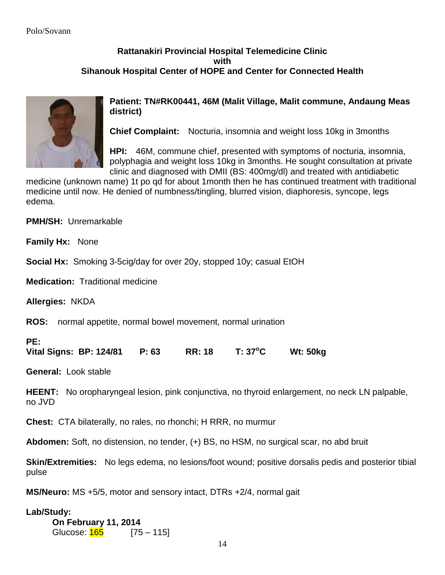# **Rattanakiri Provincial Hospital Telemedicine Clinic with Sihanouk Hospital Center of HOPE and Center for Connected Health**



**Patient: TN#RK00441, 46M (Malit Village, Malit commune, Andaung Meas district)** 

**Chief Complaint:** Nocturia, insomnia and weight loss 10kg in 3months

**HPI:** 46M, commune chief, presented with symptoms of nocturia, insomnia, polyphagia and weight loss 10kg in 3months. He sought consultation at private clinic and diagnosed with DMII (BS: 400mg/dl) and treated with antidiabetic

medicine (unknown name) 1t po qd for about 1month then he has continued treatment with traditional medicine until now. He denied of numbness/tingling, blurred vision, diaphoresis, syncope, legs edema.

**PMH/SH:** Unremarkable

**Family Hx:** None

**Social Hx:** Smoking 3-5cig/day for over 20y, stopped 10y; casual EtOH

**Medication:** Traditional medicine

**Allergies:** NKDA

**ROS:** normal appetite, normal bowel movement, normal urination

# **PE:**

**Vital Signs: BP: 124/81 P: 63 RR: 18 T: 37<sup>o</sup>C Wt: 50kg** 

**General:** Look stable

**HEENT:** No oropharyngeal lesion, pink conjunctiva, no thyroid enlargement, no neck LN palpable, no JVD

**Chest:** CTA bilaterally, no rales, no rhonchi; H RRR, no murmur

**Abdomen:** Soft, no distension, no tender, (+) BS, no HSM, no surgical scar, no abd bruit

**Skin/Extremities:** No legs edema, no lesions/foot wound; positive dorsalis pedis and posterior tibial pulse

**MS/Neuro:** MS +5/5, motor and sensory intact, DTRs +2/4, normal gait

# **Lab/Study:**

**On February 11, 2014** Glucose: 165 [75 – 115]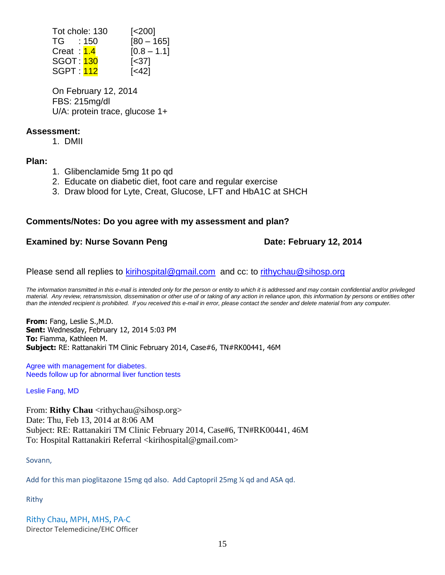| Tot chole: 130   | $\left[ < \n200 \right]$            |
|------------------|-------------------------------------|
| TG : 150         | $[80 - 165]$                        |
| Creat: 1.4       | $[0.8 - 1.1]$                       |
| <b>SGOT: 130</b> | $\left[ \langle 37 \rangle \right]$ |
| <b>SGPT:</b> 112 | [<42]                               |

On February 12, 2014 FBS: 215mg/dl U/A: protein trace, glucose 1+

# **Assessment:**

1. DMII

**Plan:**

- 1. Glibenclamide 5mg 1t po qd
- 2. Educate on diabetic diet, foot care and regular exercise
- 3. Draw blood for Lyte, Creat, Glucose, LFT and HbA1C at SHCH

# **Comments/Notes: Do you agree with my assessment and plan?**

# **Examined by: Nurse Sovann Peng Date: February 12, 2014**

Please send all replies to [kirihospital@gmail.com](mailto:kirihospital@gmail.com) and cc: to [rithychau@sihosp.org](mailto:rithychau@sihosp.org)

*The information transmitted in this e-mail is intended only for the person or entity to which it is addressed and may contain confidential and/or privileged material. Any review, retransmission, dissemination or other use of or taking of any action in reliance upon, this information by persons or entities other than the intended recipient is prohibited. If you received this e-mail in error, please contact the sender and delete material from any computer.*

**From:** Fang, Leslie S.,M.D. **Sent:** Wednesday, February 12, 2014 5:03 PM **To:** Fiamma, Kathleen M. **Subject:** RE: Rattanakiri TM Clinic February 2014, Case#6, TN#RK00441, 46M

Agree with management for diabetes. Needs follow up for abnormal liver function tests

Leslie Fang, MD

From: **Rithy Chau** <rithychau@sihosp.org> Date: Thu, Feb 13, 2014 at 8:06 AM Subject: RE: Rattanakiri TM Clinic February 2014, Case#6, TN#RK00441, 46M To: Hospital Rattanakiri Referral <kirihospital@gmail.com>

Sovann,

Add for this man pioglitazone 15mg qd also. Add Captopril 25mg ¼ qd and ASA qd.

Rithy

Rithy Chau, MPH, MHS, PA-C Director Telemedicine/EHC Officer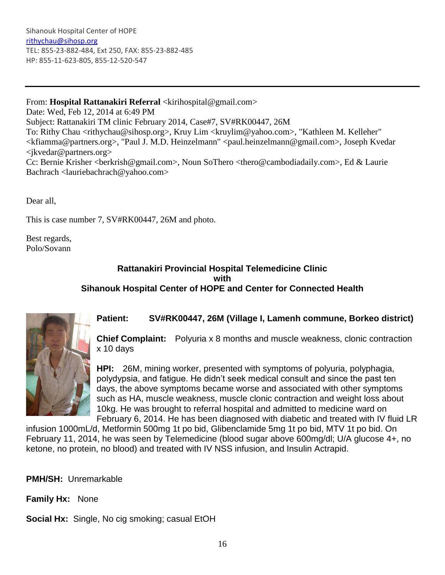Sihanouk Hospital Center of HOPE [rithychau@sihosp.org](mailto:rithychau@sihosp.org) TEL: 855-23-882-484, Ext 250, FAX: 855-23-882-485 HP: 855-11-623-805, 855-12-520-547

# From: Hospital Rattanakiri Referral <kirihospital@gmail.com>

Date: Wed, Feb 12, 2014 at 6:49 PM Subject: Rattanakiri TM clinic February 2014, Case#7, SV#RK00447, 26M To: Rithy Chau <rithychau@sihosp.org>, Kruy Lim <kruylim@yahoo.com>, "Kathleen M. Kelleher" <kfiamma@partners.org>, "Paul J. M.D. Heinzelmann" <paul.heinzelmann@gmail.com>, Joseph Kvedar <jkvedar@partners.org> Cc: Bernie Krisher <berkrish@gmail.com>, Noun SoThero <thero@cambodiadaily.com>, Ed & Laurie Bachrach <lauriebachrach@yahoo.com>

Dear all,

This is case number 7, SV#RK00447, 26M and photo.

Best regards, Polo/Sovann

### **Rattanakiri Provincial Hospital Telemedicine Clinic with Sihanouk Hospital Center of HOPE and Center for Connected Health**



### **Patient: SV#RK00447, 26M (Village I, Lamenh commune, Borkeo district)**

**Chief Complaint:** Polyuria x 8 months and muscle weakness, clonic contraction x 10 days

**HPI:** 26M, mining worker, presented with symptoms of polyuria, polyphagia, polydypsia, and fatigue. He didn't seek medical consult and since the past ten days, the above symptoms became worse and associated with other symptoms such as HA, muscle weakness, muscle clonic contraction and weight loss about 10kg. He was brought to referral hospital and admitted to medicine ward on February 6, 2014. He has been diagnosed with diabetic and treated with IV fluid LR

infusion 1000mL/d, Metformin 500mg 1t po bid, Glibenclamide 5mg 1t po bid, MTV 1t po bid. On February 11, 2014, he was seen by Telemedicine (blood sugar above 600mg/dl; U/A glucose 4+, no ketone, no protein, no blood) and treated with IV NSS infusion, and Insulin Actrapid.

**PMH/SH:** Unremarkable

**Family Hx:** None

**Social Hx:** Single, No cig smoking; casual EtOH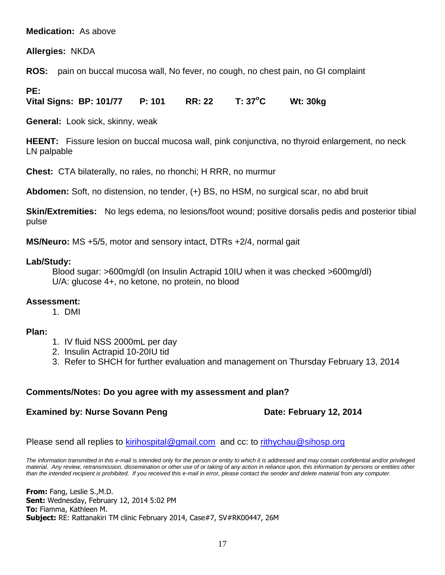# **Medication:** As above

**Allergies:** NKDA

**ROS:** pain on buccal mucosa wall, No fever, no cough, no chest pain, no GI complaint

# **PE:**

**Vital Signs: BP: 101/77 P: 101 RR: 22 T: 37<sup>o</sup>C Wt: 30kg** 

**General:** Look sick, skinny, weak

**HEENT:** Fissure lesion on buccal mucosa wall, pink conjunctiva, no thyroid enlargement, no neck LN palpable

**Chest:** CTA bilaterally, no rales, no rhonchi; H RRR, no murmur

**Abdomen:** Soft, no distension, no tender, (+) BS, no HSM, no surgical scar, no abd bruit

**Skin/Extremities:** No legs edema, no lesions/foot wound; positive dorsalis pedis and posterior tibial pulse

**MS/Neuro:** MS +5/5, motor and sensory intact, DTRs +2/4, normal gait

### **Lab/Study:**

Blood sugar: >600mg/dl (on Insulin Actrapid 10IU when it was checked >600mg/dl) U/A: glucose 4+, no ketone, no protein, no blood

### **Assessment:**

1. DMI

### **Plan:**

- 1. IV fluid NSS 2000mL per day
- 2. Insulin Actrapid 10-20IU tid
- 3. Refer to SHCH for further evaluation and management on Thursday February 13, 2014

# **Comments/Notes: Do you agree with my assessment and plan?**

# **Examined by: Nurse Sovann Peng Date: February 12, 2014**

Please send all replies to [kirihospital@gmail.com](mailto:kirihospital@gmail.com) and cc: to [rithychau@sihosp.org](mailto:rithychau@sihosp.org)

*The information transmitted in this e-mail is intended only for the person or entity to which it is addressed and may contain confidential and/or privileged material. Any review, retransmission, dissemination or other use of or taking of any action in reliance upon, this information by persons or entities other than the intended recipient is prohibited. If you received this e-mail in error, please contact the sender and delete material from any computer.*

**From:** Fang, Leslie S.,M.D. **Sent:** Wednesday, February 12, 2014 5:02 PM **To:** Fiamma, Kathleen M. **Subject:** RE: Rattanakiri TM clinic February 2014, Case#7, SV#RK00447, 26M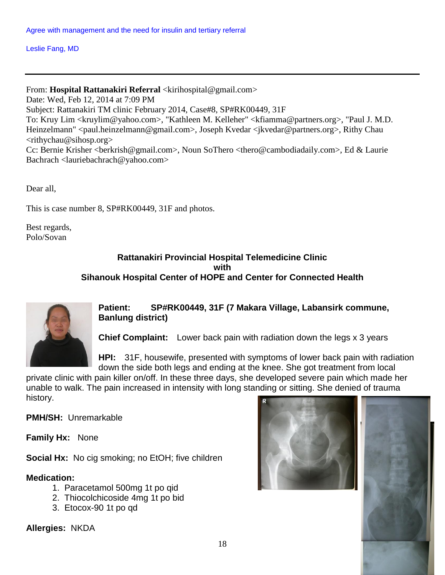Leslie Fang, MD

From: Hospital Rattanakiri Referral <kirihospital@gmail.com> Date: Wed, Feb 12, 2014 at 7:09 PM Subject: Rattanakiri TM clinic February 2014, Case#8, SP#RK00449, 31F To: Kruy Lim <kruylim@yahoo.com>, "Kathleen M. Kelleher" <kfiamma@partners.org>, "Paul J. M.D. Heinzelmann" <paul.heinzelmann@gmail.com>, Joseph Kvedar <jkvedar@partners.org>, Rithy Chau <rithychau@sihosp.org> Cc: Bernie Krisher <br/> <br/>berkrish@gmail.com>, Noun SoThero <thero@cambodiadaily.com>, Ed & Laurie Bachrach <lauriebachrach@yahoo.com>

Dear all,

This is case number 8, SP#RK00449, 31F and photos.

Best regards, Polo/Sovan

# **Rattanakiri Provincial Hospital Telemedicine Clinic with Sihanouk Hospital Center of HOPE and Center for Connected Health**



**Patient: SP#RK00449, 31F (7 Makara Village, Labansirk commune, Banlung district)** 

**Chief Complaint:** Lower back pain with radiation down the legs x 3 years

**HPI:** 31F, housewife, presented with symptoms of lower back pain with radiation down the side both legs and ending at the knee. She got treatment from local

private clinic with pain killer on/off. In these three days, she developed severe pain which made her unable to walk. The pain increased in intensity with long standing or sitting. She denied of trauma history.

**PMH/SH:** Unremarkable

**Family Hx:** None

**Social Hx:** No cig smoking; no EtOH; five children

# **Medication:**

- 1. Paracetamol 500mg 1t po qid
- 2. Thiocolchicoside 4mg 1t po bid
- 3. Etocox-90 1t po qd

**Allergies:** NKDA



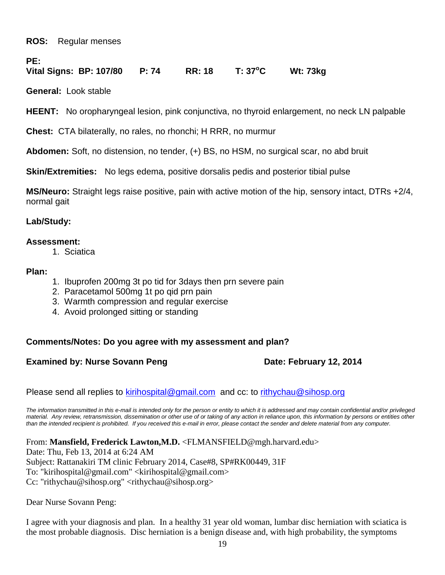**ROS:** Regular menses

**PE:**

# **Vital Signs: BP: 107/80 P: 74 RR: 18 T: 37<sup>o</sup>C Wt: 73kg**

**General:** Look stable

**HEENT:** No oropharyngeal lesion, pink conjunctiva, no thyroid enlargement, no neck LN palpable

**Chest:** CTA bilaterally, no rales, no rhonchi; H RRR, no murmur

**Abdomen:** Soft, no distension, no tender, (+) BS, no HSM, no surgical scar, no abd bruit

**Skin/Extremities:** No legs edema, positive dorsalis pedis and posterior tibial pulse

**MS/Neuro:** Straight legs raise positive, pain with active motion of the hip, sensory intact, DTRs +2/4, normal gait

# **Lab/Study:**

# **Assessment:**

1. Sciatica

# **Plan:**

- 1. Ibuprofen 200mg 3t po tid for 3days then prn severe pain
- 2. Paracetamol 500mg 1t po qid prn pain
- 3. Warmth compression and regular exercise
- 4. Avoid prolonged sitting or standing

# **Comments/Notes: Do you agree with my assessment and plan?**

# **Examined by: Nurse Sovann Peng Date: February 12, 2014**

Please send all replies to [kirihospital@gmail.com](mailto:kirihospital@gmail.com) and cc: to [rithychau@sihosp.org](mailto:rithychau@sihosp.org)

*The information transmitted in this e-mail is intended only for the person or entity to which it is addressed and may contain confidential and/or privileged material. Any review, retransmission, dissemination or other use of or taking of any action in reliance upon, this information by persons or entities other than the intended recipient is prohibited. If you received this e-mail in error, please contact the sender and delete material from any computer.*

From: **Mansfield, Frederick Lawton,M.D.** <FLMANSFIELD@mgh.harvard.edu>

Date: Thu, Feb 13, 2014 at 6:24 AM Subject: Rattanakiri TM clinic February 2014, Case#8, SP#RK00449, 31F To: "kirihospital@gmail.com" <kirihospital@gmail.com> Cc: "rithychau@sihosp.org" <rithychau@sihosp.org>

Dear Nurse Sovann Peng:

I agree with your diagnosis and plan. In a healthy 31 year old woman, lumbar disc herniation with sciatica is the most probable diagnosis. Disc herniation is a benign disease and, with high probability, the symptoms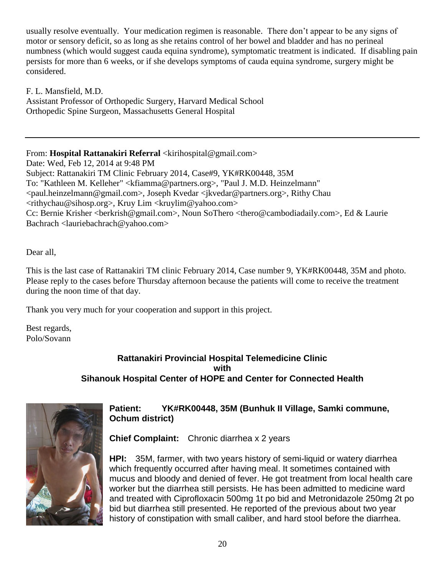usually resolve eventually. Your medication regimen is reasonable. There don't appear to be any signs of motor or sensory deficit, so as long as she retains control of her bowel and bladder and has no perineal numbness (which would suggest cauda equina syndrome), symptomatic treatment is indicated. If disabling pain persists for more than 6 weeks, or if she develops symptoms of cauda equina syndrome, surgery might be considered.

F. L. Mansfield, M.D. Assistant Professor of Orthopedic Surgery, Harvard Medical School Orthopedic Spine Surgeon, Massachusetts General Hospital

From: **Hospital Rattanakiri Referral** <kirihospital@gmail.com> Date: Wed, Feb 12, 2014 at 9:48 PM Subject: Rattanakiri TM Clinic February 2014, Case#9, YK#RK00448, 35M To: "Kathleen M. Kelleher" <kfiamma@partners.org>, "Paul J. M.D. Heinzelmann" <paul.heinzelmann@gmail.com>, Joseph Kvedar <jkvedar@partners.org>, Rithy Chau  $\langle$ rithychau@sihosp.org>, Kruy Lim  $\langle$ kruylim@yahoo.com> Cc: Bernie Krisher <br/> <br/>berkrish@gmail.com>, Noun SoThero <thero@cambodiadaily.com>, Ed & Laurie Bachrach <lauriebachrach@yahoo.com>

Dear all,

This is the last case of Rattanakiri TM clinic February 2014, Case number 9, YK#RK00448, 35M and photo. Please reply to the cases before Thursday afternoon because the patients will come to receive the treatment during the noon time of that day.

Thank you very much for your cooperation and support in this project.

Best regards, Polo/Sovann

# **Rattanakiri Provincial Hospital Telemedicine Clinic with Sihanouk Hospital Center of HOPE and Center for Connected Health**



# **Patient: YK#RK00448, 35M (Bunhuk II Village, Samki commune, Ochum district)**

**Chief Complaint:** Chronic diarrhea x 2 years

**HPI:** 35M, farmer, with two years history of semi-liquid or watery diarrhea which frequently occurred after having meal. It sometimes contained with mucus and bloody and denied of fever. He got treatment from local health care worker but the diarrhea still persists. He has been admitted to medicine ward and treated with Ciprofloxacin 500mg 1t po bid and Metronidazole 250mg 2t po bid but diarrhea still presented. He reported of the previous about two year history of constipation with small caliber, and hard stool before the diarrhea.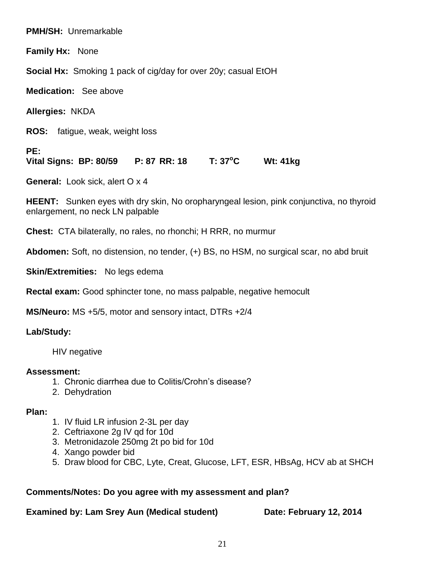**PMH/SH:** Unremarkable

**Family Hx:** None

**Social Hx:** Smoking 1 pack of cig/day for over 20y; casual EtOH

**Medication:** See above

**Allergies:** NKDA

**ROS:** fatigue, weak, weight loss

**PE:**

**Vital Signs: BP: 80/59 P: 87 RR: 18 T: 37<sup>o</sup>C Wt: 41kg** 

**General:** Look sick, alert O x 4

**HEENT:** Sunken eyes with dry skin, No oropharyngeal lesion, pink conjunctiva, no thyroid enlargement, no neck LN palpable

**Chest:** CTA bilaterally, no rales, no rhonchi; H RRR, no murmur

**Abdomen:** Soft, no distension, no tender, (+) BS, no HSM, no surgical scar, no abd bruit

**Skin/Extremities:** No legs edema

**Rectal exam:** Good sphincter tone, no mass palpable, negative hemocult

**MS/Neuro:** MS +5/5, motor and sensory intact, DTRs +2/4

**Lab/Study:** 

HIV negative

# **Assessment:**

- 1. Chronic diarrhea due to Colitis/Crohn's disease?
- 2. Dehydration

# **Plan:**

- 1. IV fluid LR infusion 2-3L per day
- 2. Ceftriaxone 2g IV qd for 10d
- 3. Metronidazole 250mg 2t po bid for 10d
- 4. Xango powder bid
- 5. Draw blood for CBC, Lyte, Creat, Glucose, LFT, ESR, HBsAg, HCV ab at SHCH

# **Comments/Notes: Do you agree with my assessment and plan?**

**Examined by: Lam Srey Aun (Medical student) <b>Date: February 12, 2014**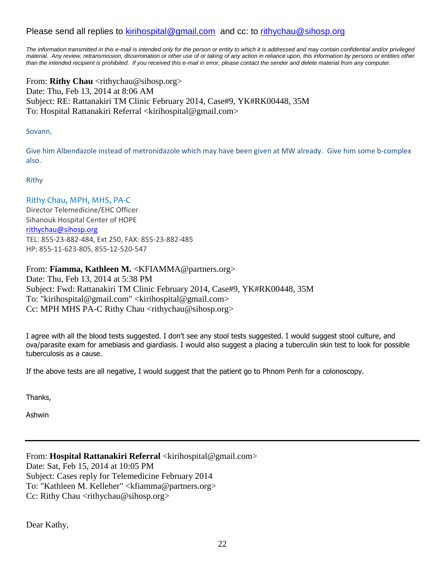# Please send all replies to [kirihospital@gmail.com](mailto:kirihospital@gmail.com) and cc: to [rithychau@sihosp.org](mailto:rithychau@sihosp.org)

*The information transmitted in this e-mail is intended only for the person or entity to which it is addressed and may contain confidential and/or privileged material. Any review, retransmission, dissemination or other use of or taking of any action in reliance upon, this information by persons or entities other than the intended recipient is prohibited. If you received this e-mail in error, please contact the sender and delete material from any computer.*

From: **Rithy Chau** <rithychau@sihosp.org> Date: Thu, Feb 13, 2014 at 8:06 AM Subject: RE: Rattanakiri TM Clinic February 2014, Case#9, YK#RK00448, 35M To: Hospital Rattanakiri Referral <kirihospital@gmail.com>

#### Sovann,

Give him Albendazole instead of metronidazole which may have been given at MW already. Give him some b-complex also.

#### Rithy

Rithy Chau, MPH, MHS, PA-C Director Telemedicine/EHC Officer Sihanouk Hospital Center of HOPE [rithychau@sihosp.org](mailto:rithychau@sihosp.org) TEL: 855-23-882-484, Ext 250, FAX: 855-23-882-485 HP: 855-11-623-805, 855-12-520-547

### From: **Fiamma, Kathleen M.** <KFIAMMA@partners.org>

Date: Thu, Feb 13, 2014 at 5:38 PM Subject: Fwd: Rattanakiri TM Clinic February 2014, Case#9, YK#RK00448, 35M To: "kirihospital@gmail.com" <kirihospital@gmail.com> Cc: MPH MHS PA-C Rithy Chau <rithychau@sihosp.org>

I agree with all the blood tests suggested. I don't see any stool tests suggested. I would suggest stool culture, and ova/parasite exam for amebiasis and giardiasis. I would also suggest a placing a tuberculin skin test to look for possible tuberculosis as a cause.

If the above tests are all negative, I would suggest that the patient go to Phnom Penh for a colonoscopy.

Thanks,

Ashwin

From: **Hospital Rattanakiri Referral** <kirihospital@gmail.com> Date: Sat, Feb 15, 2014 at 10:05 PM Subject: Cases reply for Telemedicine February 2014 To: "Kathleen M. Kelleher" <kfiamma@partners.org> Cc: Rithy Chau <rithychau@sihosp.org>

Dear Kathy,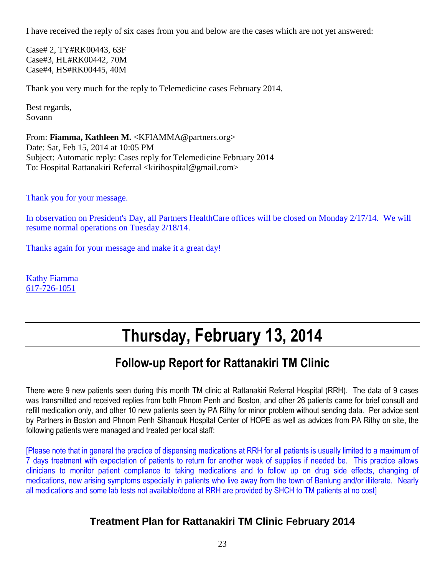I have received the reply of six cases from you and below are the cases which are not yet answered:

Case# 2, TY#RK00443, 63F Case#3, HL#RK00442, 70M Case#4, HS#RK00445, 40M

Thank you very much for the reply to Telemedicine cases February 2014.

Best regards, Sovann

From: **Fiamma, Kathleen M.** <KFIAMMA@partners.org> Date: Sat, Feb 15, 2014 at 10:05 PM Subject: Automatic reply: Cases reply for Telemedicine February 2014 To: Hospital Rattanakiri Referral <kirihospital@gmail.com>

Thank you for your message.

In observation on President's Day, all Partners HealthCare offices will be closed on Monday 2/17/14. We will resume normal operations on Tuesday 2/18/14.

Thanks again for your message and make it a great day!

Kathy Fiamma [617-726-1051](tel:617-726-1051)

# **Thursday, February 13, 2014**

# **Follow-up Report for Rattanakiri TM Clinic**

There were 9 new patients seen during this month TM clinic at Rattanakiri Referral Hospital (RRH). The data of 9 cases was transmitted and received replies from both Phnom Penh and Boston, and other 26 patients came for brief consult and refill medication only, and other 10 new patients seen by PA Rithy for minor problem without sending data. Per advice sent by Partners in Boston and Phnom Penh Sihanouk Hospital Center of HOPE as well as advices from PA Rithy on site, the following patients were managed and treated per local staff:

[Please note that in general the practice of dispensing medications at RRH for all patients is usually limited to a maximum of 7 days treatment with expectation of patients to return for another week of supplies if needed be. This practice allows clinicians to monitor patient compliance to taking medications and to follow up on drug side effects, changing of medications, new arising symptoms especially in patients who live away from the town of Banlung and/or illiterate. Nearly all medications and some lab tests not available/done at RRH are provided by SHCH to TM patients at no cost]

# **Treatment Plan for Rattanakiri TM Clinic February 2014**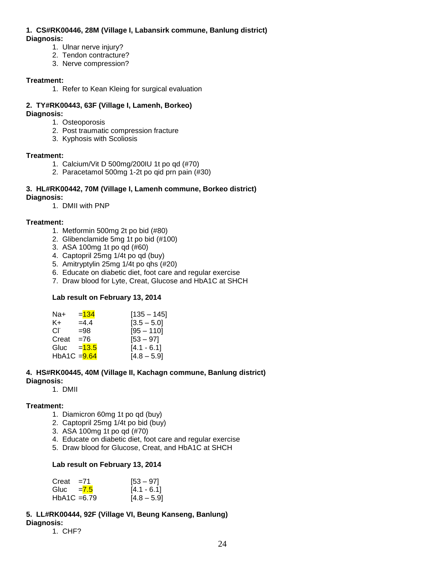#### **1. CS#RK00446, 28M (Village I, Labansirk commune, Banlung district) Diagnosis:**

- 1. Ulnar nerve injury?
- 2. Tendon contracture?
- 3. Nerve compression?

#### **Treatment:**

1. Refer to Kean Kleing for surgical evaluation

#### **2. TY#RK00443, 63F (Village I, Lamenh, Borkeo) Diagnosis:**

- 1. Osteoporosis
- 2. Post traumatic compression fracture
- 3. Kyphosis with Scoliosis

#### **Treatment:**

- 1. Calcium/Vit D 500mg/200IU 1t po qd (#70)
- 2. Paracetamol 500mg 1-2t po qid prn pain (#30)

### **3. HL#RK00442, 70M (Village I, Lamenh commune, Borkeo district)**

#### **Diagnosis:**

1. DMII with PNP

#### **Treatment:**

- 1. Metformin 500mg 2t po bid (#80)
- 2. Glibenclamide 5mg 1t po bid (#100)
- 3. ASA 100mg 1t po qd (#60)
- 4. Captopril 25mg 1/4t po qd (buy)
- 5. Amitryptylin 25mg 1/4t po qhs (#20)
- 6. Educate on diabetic diet, foot care and regular exercise
- 7. Draw blood for Lyte, Creat, Glucose and HbA1C at SHCH

#### **Lab result on February 13, 2014**

| Na+          | $= 134$  | $[135 - 145]$ |
|--------------|----------|---------------|
| K+           | $=4.4$   | $[3.5 - 5.0]$ |
| Cl.          | $= 98$   | $[95 - 110]$  |
| Creat        | $= 76$   | $[53 - 97]$   |
| Gluc         | $= 13.5$ | $[4.1 - 6.1]$ |
| HbA1C = 9.64 |          | $[4.8 - 5.9]$ |

#### **4. HS#RK00445, 40M (Village II, Kachagn commune, Banlung district) Diagnosis:**

1. DMII

#### **Treatment:**

- 1. Diamicron 60mg 1t po qd (buy)
- 2. Captopril 25mg 1/4t po bid (buy)
- 3. ASA 100mg 1t po qd (#70)
- 4. Educate on diabetic diet, foot care and regular exercise
- 5. Draw blood for Glucose, Creat, and HbA1C at SHCH

#### **Lab result on February 13, 2014**

| Creat                       | $= 71$ | $[53 - 97]$   |
|-----------------------------|--------|---------------|
| Gluc $= 7.5$                |        | $[4.1 - 6.1]$ |
| HbA <sub>1</sub> C = $6.79$ |        | $[4.8 - 5.9]$ |

#### **5. LL#RK00444, 92F (Village VI, Beung Kanseng, Banlung) Diagnosis:**

1. CHF?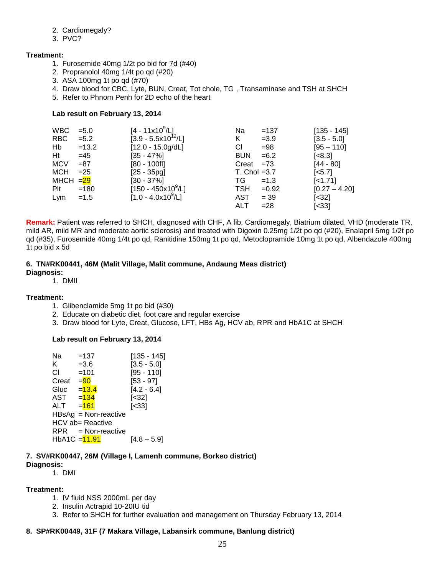#### 2. Cardiomegaly?

3. PVC?

#### **Treatment:**

- 1. Furosemide 40mg 1/2t po bid for 7d (#40)
- 2. Propranolol 40mg 1/4t po qd (#20)
- 3. ASA 100mg 1t po qd (#70)
- 4. Draw blood for CBC, Lyte, BUN, Creat, Tot chole, TG , Transaminase and TSH at SHCH
- 5. Refer to Phnom Penh for 2D echo of the heart

#### **Lab result on February 13, 2014**

| <b>WBC</b>           | $= 5.0$ | $[4 - 11 \times 10^9/\text{L}]$ | Na              | $=137$  | $[135 - 145]$          |
|----------------------|---------|---------------------------------|-----------------|---------|------------------------|
| <b>RBC</b>           | $= 5.2$ | $[3.9 - 5.5x10^{12}/L]$         | K               | $=3.9$  | $[3.5 - 5.0]$          |
| Hb                   | $=13.2$ | $[12.0 - 15.0g/dL]$             | CI.             | $= 98$  | $[95 - 110]$           |
| Ht                   | $=45$   | $[35 - 47\%]$                   | <b>BUN</b>      | $= 6.2$ | $\left[ < 8.3 \right]$ |
| <b>MCV</b>           | $= 87$  | $[80 - 100$ fl]                 | Creat           | $= 73$  | $[44 - 80]$            |
| <b>MCH</b>           | $=25$   | $[25 - 35pg]$                   | $T.$ Chol = 3.7 |         | $[-5.7]$               |
| MHCH $=\frac{29}{2}$ |         | $[30 - 37\%]$                   | TG.             | $=1.3$  | [<1.71]                |
| Plt                  | $=180$  | $[150 - 450x10^9/L]$            | <b>TSH</b>      | $=0.92$ | $[0.27 - 4.20]$        |
| Lym                  | $=1.5$  | $[1.0 - 4.0x10^9/L]$            | AST             | $= 39$  | $[<32]$                |
|                      |         |                                 | ALT             | $= 28$  | $[<33]$                |

**Remark:** Patient was referred to SHCH, diagnosed with CHF, A fib, Cardiomegaly, Biatrium dilated, VHD (moderate TR, mild AR, mild MR and moderate aortic sclerosis) and treated with Digoxin 0.25mg 1/2t po qd (#20), Enalapril 5mg 1/2t po qd (#35), Furosemide 40mg 1/4t po qd, Ranitidine 150mg 1t po qd, Metoclopramide 10mg 1t po qd, Albendazole 400mg 1t po bid x 5d

#### **6. TN#RK00441, 46M (Malit Village, Malit commune, Andaung Meas district)**

#### **Diagnosis:**

1. DMII

#### **Treatment:**

- 1. Glibenclamide 5mg 1t po bid (#30)
- 2. Educate on diabetic diet, foot care and regular exercise
- 3. Draw blood for Lyte, Creat, Glucose, LFT, HBs Ag, HCV ab, RPR and HbA1C at SHCH

#### **Lab result on February 13, 2014**

| Na                      | $=137$   |                        | $[135 - 145]$         |
|-------------------------|----------|------------------------|-----------------------|
| K.                      | $= 3.6$  |                        | $[3.5 - 5.0]$         |
| СI                      | $=101$   |                        | $[95 - 110]$          |
| Creat                   | $= 90$   |                        | $[53 - 97]$           |
| Gluc                    | $= 13.4$ |                        | $[4.2 - 6.4]$         |
| AST                     | $=134$   |                        | $[<32]$               |
| ALT                     | $= 161$  |                        | $\left[ < 33 \right]$ |
|                         |          | $HBSAg = Non-reactive$ |                       |
| <b>HCV</b> ab= Reactive |          |                        |                       |
|                         |          | $RPR = Non-reactive$   |                       |
| HbA1C = 11.91           |          |                        | [4.8 – 5.9]           |
|                         |          |                        |                       |

#### **7. SV#RK00447, 26M (Village I, Lamenh commune, Borkeo district)**

#### **Diagnosis:**

1. DMI

#### **Treatment:**

- 1. IV fluid NSS 2000mL per day
- 2. Insulin Actrapid 10-20IU tid
- 3. Refer to SHCH for further evaluation and management on Thursday February 13, 2014

### **8. SP#RK00449, 31F (7 Makara Village, Labansirk commune, Banlung district)**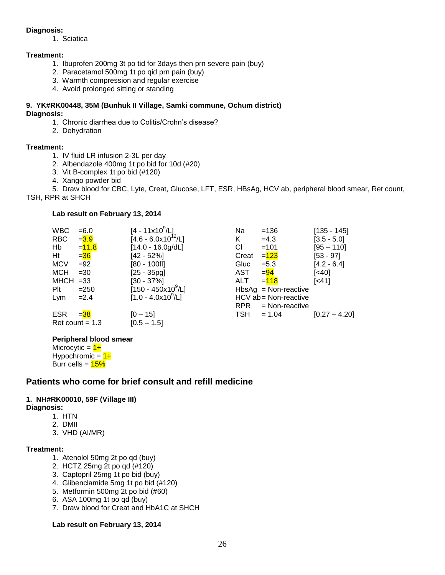#### **Diagnosis:**

1. Sciatica

#### **Treatment:**

- 1. Ibuprofen 200mg 3t po tid for 3days then prn severe pain (buy)
- 2. Paracetamol 500mg 1t po qid prn pain (buy)
- 3. Warmth compression and regular exercise
- 4. Avoid prolonged sitting or standing

#### **9. YK#RK00448, 35M (Bunhuk II Village, Samki commune, Ochum district) Diagnosis:**

- 1. Chronic diarrhea due to Colitis/Crohn's disease?
- 2. Dehydration

#### **Treatment:**

- 1. IV fluid LR infusion 2-3L per day
- 2. Albendazole 400mg 1t po bid for 10d (#20)
- 3. Vit B-complex 1t po bid (#120)
- 4. Xango powder bid

5. Draw blood for CBC, Lyte, Creat, Glucose, LFT, ESR, HBsAg, HCV ab, peripheral blood smear, Ret count, TSH, RPR at SHCH

#### **Lab result on February 13, 2014**

| <b>WBC</b>  | $= 6.0$           | $[4 - 11 \times 10^9/L]$ | Na         | $=136$                 | $[135 - 145]$   |
|-------------|-------------------|--------------------------|------------|------------------------|-----------------|
| <b>RBC</b>  | $= 3.9$           | $[4.6 - 6.0x10^{12}/L]$  | K.         | $=4.3$                 | $[3.5 - 5.0]$   |
| Hb          | $= 11.8$          | $[14.0 - 16.0g/dL]$      | СI         | $=101$                 | $[95 - 110]$    |
| Ht          | $= 36$            | $[42 - 52%]$             | Creat      | $= 123$                | $[53 - 97]$     |
| <b>MCV</b>  | $=92$             | [80 - 100fl]             | Gluc       | $= 5.3$                | $[4.2 - 6.4]$   |
| <b>MCH</b>  | $=30$             | $[25 - 35pg]$            | AST        | $= 94$                 | $[<40]$         |
| $MHCH = 33$ |                   | $[30 - 37\%]$            | ALT        | $= 118$                | [<41]           |
| Plt         | $= 250$           | $[150 - 450x10^9/L]$     |            | $HbsAg = Non-reactive$ |                 |
| Lym         | $=2.4$            | $[1.0 - 4.0x10^9/L]$     |            | HCV ab = Non-reactive  |                 |
|             |                   |                          | <b>RPR</b> | = Non-reactive         |                 |
| <b>ESR</b>  | $= 38$            | $[0 - 15]$               | TSH        | $= 1.04$               | $[0.27 - 4.20]$ |
|             | Ret count $= 1.3$ | $[0.5 - 1.5]$            |            |                        |                 |

### **Peripheral blood smear**

| Microcytic = $1+$   |
|---------------------|
| Hypochromic = $1+$  |
| Burr cells = $15\%$ |

# **Patients who come for brief consult and refill medicine**

### **1. NH#RK00010, 59F (Village III)**

- **Diagnosis:**
	- 1. HTN
	- 2. DMII
	- 3. VHD (AI/MR)

#### **Treatment:**

- 1. Atenolol 50mg 2t po qd (buy)
- 2. HCTZ 25mg 2t po qd (#120)
- 3. Captopril 25mg 1t po bid (buy)
- 4. Glibenclamide 5mg 1t po bid (#120)
- 5. Metformin 500mg 2t po bid (#60)
- 6. ASA 100mg 1t po qd (buy)
- 7. Draw blood for Creat and HbA1C at SHCH

#### **Lab result on February 13, 2014**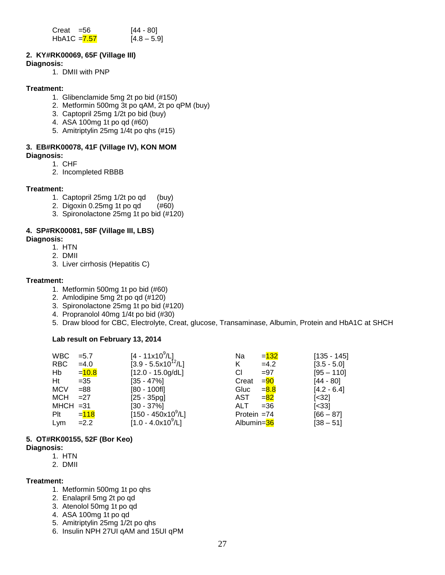| Creat =56     | [44 - 80]     |
|---------------|---------------|
| HbA1C $=7.57$ | $[4.8 - 5.9]$ |

#### **2. KY#RK00069, 65F (Village III) Diagnosis:**

1. DMII with PNP

#### **Treatment:**

- 1. Glibenclamide 5mg 2t po bid (#150)
- 2. Metformin 500mg 3t po qAM, 2t po qPM (buy)
- 3. Captopril 25mg 1/2t po bid (buy)
- 4. ASA 100mg 1t po qd (#60)
- 5. Amitriptylin 25mg 1/4t po qhs (#15)

# **3. EB#RK00078, 41F (Village IV), KON MOM**

**Diagnosis:**

- 1. CHF
- 2. Incompleted RBBB

#### **Treatment:**

- 1. Captopril 25mg 1/2t po qd (buy)
- 2. Digoxin 0.25mg 1t po qd (#60)
- 3. Spironolactone 25mg 1t po bid (#120)

### **4. SP#RK00081, 58F (Village III, LBS)**

#### **Diagnosis:**

- 1. HTN
- 2. DMII
- 3. Liver cirrhosis (Hepatitis C)

#### **Treatment:**

- 1. Metformin 500mg 1t po bid (#60)
- 2. Amlodipine 5mg 2t po qd (#120)
- 3. Spironolactone 25mg 1t po bid (#120)
- 4. Propranolol 40mg 1/4t po bid (#30)
- 5. Draw blood for CBC, Electrolyte, Creat, glucose, Transaminase, Albumin, Protein and HbA1C at SHCH

### **Lab result on February 13, 2014**

| <b>WBC</b>  | $= 5.7$  | $[4 - 11 \times 10^9 / L]$ | Na            | $= 132$ | $[135 - 145]$         |
|-------------|----------|----------------------------|---------------|---------|-----------------------|
| <b>RBC</b>  | $=4.0$   | $[3.9 - 5.5x10^{12}/L]$    | K.            | $=4.2$  | $[3.5 - 5.0]$         |
| Hb          | $= 10.8$ | $[12.0 - 15.0g/dL]$        | СI            | $= 97$  | $[95 - 110]$          |
| Ht          | $=35$    | $[35 - 47\%]$              | Creat         | $= 90$  | $[44 - 80]$           |
| <b>MCV</b>  | $= 88$   | $[80 - 100$ fl]            | Gluc          | $= 8.8$ | $[4.2 - 6.4]$         |
| <b>MCH</b>  | $=27$    | $[25 - 35pq]$              | AST           | $= 82$  | $\left[ < 32 \right]$ |
| $MHCH = 31$ |          | $[30 - 37\%]$              | ALT           | $= 36$  | $\left[ < 33 \right]$ |
| Plt         | $= 118$  | $[150 - 450x10^9/L]$       | Protein $=74$ |         | $[66 - 87]$           |
| Lym         | $=2.2$   | $[1.0 - 4.0x10^9/L]$       | Albumin=36    |         | $[38 - 51]$           |

### **5. OT#RK00155, 52F (Bor Keo)**

#### **Diagnosis:**

- 1. HTN
- 2. DMII

#### **Treatment:**

- 1. Metformin 500mg 1t po qhs
- 2. Enalapril 5mg 2t po qd
- 3. Atenolol 50mg 1t po qd
- 4. ASA 100mg 1t po qd
- 5. Amitriptylin 25mg 1/2t po qhs
- 6. Insulin NPH 27UI qAM and 15UI qPM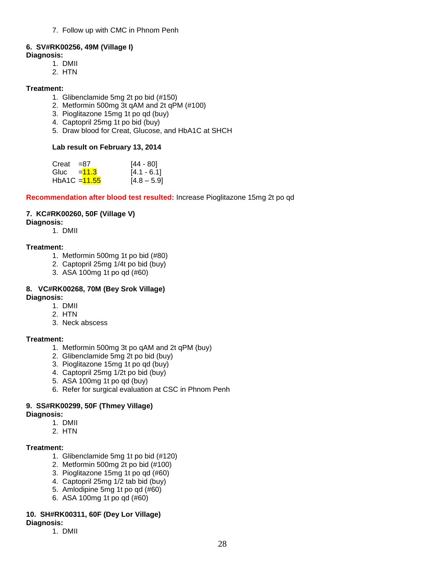7. Follow up with CMC in Phnom Penh

#### **6. SV#RK00256, 49M (Village I)**

- **Diagnosis:** 
	- 1. DMII
	- 2. HTN

#### **Treatment:**

- 1. Glibenclamide 5mg 2t po bid (#150)
- 2. Metformin 500mg 3t qAM and 2t qPM (#100)
- 3. Pioglitazone 15mg 1t po qd (buy)
- 4. Captopril 25mg 1t po bid (buy)
- 5. Draw blood for Creat, Glucose, and HbA1C at SHCH

#### **Lab result on February 13, 2014**

| Creat                     | $=87$           | [44 - 80]     |
|---------------------------|-----------------|---------------|
| Gluc $=$ $\frac{11.3}{ }$ |                 | $[4.1 - 6.1]$ |
|                           | HbA1C $=$ 11.55 | $[4.8 - 5.9]$ |

**Recommendation after blood test resulted:** Increase Pioglitazone 15mg 2t po qd

#### **7. KC#RK00260, 50F (Village V)**

#### **Diagnosis:**

1. DMII

#### **Treatment:**

- 1. Metformin 500mg 1t po bid (#80)
- 2. Captopril 25mg 1/4t po bid (buy)
- 3. ASA 100mg 1t po qd (#60)

# **8. VC#RK00268, 70M (Bey Srok Village)**

- **Diagnosis:** 
	- 1. DMII
	- 2. HTN
	- 3. Neck abscess

#### **Treatment:**

- 1. Metformin 500mg 3t po qAM and 2t qPM (buy)
- 2. Glibenclamide 5mg 2t po bid (buy)
- 3. Pioglitazone 15mg 1t po qd (buy)
- 4. Captopril 25mg 1/2t po bid (buy)
- 5. ASA 100mg 1t po qd (buy)
- 6. Refer for surgical evaluation at CSC in Phnom Penh

#### **9. SS#RK00299, 50F (Thmey Village)**

#### **Diagnosis:**

- 1. DMII
- 2. HTN

#### **Treatment:**

- 1. Glibenclamide 5mg 1t po bid (#120)
- 2. Metformin 500mg 2t po bid (#100)
- 3. Pioglitazone 15mg 1t po qd (#60)
- 4. Captopril 25mg 1/2 tab bid (buy)
- 5. Amlodipine 5mg 1t po qd (#60)
- 6. ASA 100mg 1t po qd (#60)

### **10. SH#RK00311, 60F (Dey Lor Village)**

### **Diagnosis:**

1. DMII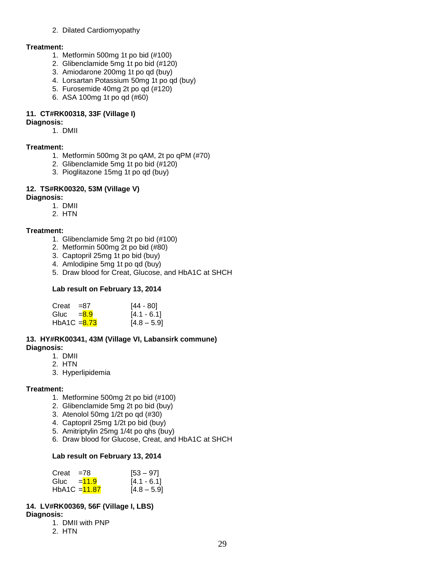#### 2. Dilated Cardiomyopathy

#### **Treatment:**

- 1. Metformin 500mg 1t po bid (#100)
- 2. Glibenclamide 5mg 1t po bid (#120)
- 3. Amiodarone 200mg 1t po qd (buy)
- 4. Lorsartan Potassium 50mg 1t po qd (buy)
- 5. Furosemide 40mg 2t po qd (#120)
- 6. ASA 100mg 1t po qd (#60)

#### **11. CT#RK00318, 33F (Village I)**

#### **Diagnosis:**

1. DMII

#### **Treatment:**

- 1. Metformin 500mg 3t po qAM, 2t po qPM (#70)
- 2. Glibenclamide 5mg 1t po bid (#120)
- 3. Pioglitazone 15mg 1t po qd (buy)

#### **12. TS#RK00320, 53M (Village V)**

#### **Diagnosis:**

- 1. DMII
- 2. HTN

#### **Treatment:**

- 1. Glibenclamide 5mg 2t po bid (#100)
- 2. Metformin 500mg 2t po bid (#80)
- 3. Captopril 25mg 1t po bid (buy)
- 4. Amlodipine 5mg 1t po qd (buy)
- 5. Draw blood for Creat, Glucose, and HbA1C at SHCH

#### **Lab result on February 13, 2014**

| Creat          | $= 87$ | [44 - 80]     |
|----------------|--------|---------------|
| Gluc $= 8.9$   |        | $[4.1 - 6.1]$ |
| HbA1C $= 8.73$ |        | $[4.8 - 5.9]$ |

#### **13. HY#RK00341, 43M (Village VI, Labansirk commune) Diagnosis:**

1. DMII

- 2. HTN
- 3. Hyperlipidemia

#### **Treatment:**

- 1. Metformine 500mg 2t po bid (#100)
- 2. Glibenclamide 5mg 2t po bid (buy)
- 3. Atenolol 50mg 1/2t po qd (#30)
- 4. Captopril 25mg 1/2t po bid (buy)
- 5. Amitriptylin 25mg 1/4t po qhs (buy)
- 6. Draw blood for Glucose, Creat, and HbA1C at SHCH

#### **Lab result on February 13, 2014**

| Creat         | $= 78$ | $[53 - 97]$   |
|---------------|--------|---------------|
| Gluc $=$ 11.9 |        | $[4.1 - 6.1]$ |
| HbA1C = 11.87 |        | $[4.8 - 5.9]$ |

#### **14. LV#RK00369, 56F (Village I, LBS)**

**Diagnosis:**

- 1. DMII with PNP
- 2. HTN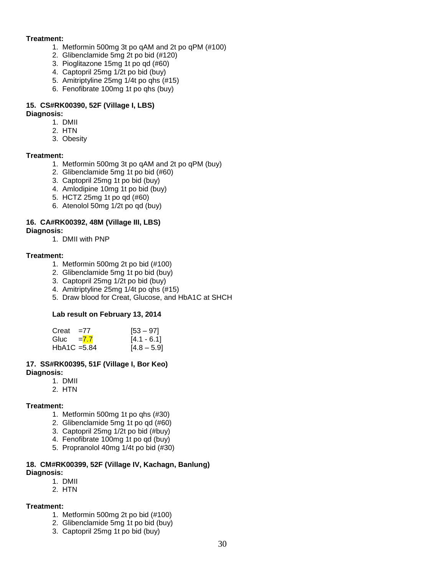#### **Treatment:**

- 1. Metformin 500mg 3t po qAM and 2t po qPM (#100)
- 2. Glibenclamide 5mg 2t po bid (#120)
- 3. Pioglitazone 15mg 1t po qd (#60)
- 4. Captopril 25mg 1/2t po bid (buy)
- 5. Amitriptyline 25mg 1/4t po qhs (#15)
- 6. Fenofibrate 100mg 1t po qhs (buy)

#### **15. CS#RK00390, 52F (Village I, LBS)**

#### **Diagnosis:**

- 1. DMII
- 2. HTN
- 3. Obesity

#### **Treatment:**

- 1. Metformin 500mg 3t po qAM and 2t po qPM (buy)
- 2. Glibenclamide 5mg 1t po bid (#60)
- 3. Captopril 25mg 1t po bid (buy)
- 4. Amlodipine 10mg 1t po bid (buy)
- 5. HCTZ 25mg 1t po qd (#60)
- 6. Atenolol 50mg 1/2t po qd (buy)

# **16. CA#RK00392, 48M (Village III, LBS)**

**Diagnosis:**

1. DMII with PNP

#### **Treatment:**

- 1. Metformin 500mg 2t po bid (#100)
- 2. Glibenclamide 5mg 1t po bid (buy)
- 3. Captopril 25mg 1/2t po bid (buy)
- 4. Amitriptyline 25mg 1/4t po qhs (#15)
- 5. Draw blood for Creat, Glucose, and HbA1C at SHCH

#### **Lab result on February 13, 2014**

| Creat          | $=7/$ | $[53 - 97]$   |
|----------------|-------|---------------|
| Gluc = $7.7$   |       | $[4.1 - 6.1]$ |
| HbA1C $=$ 5.84 |       | $[4.8 - 5.9]$ |

#### **17. SS#RK00395, 51F (Village I, Bor Keo) Diagnosis:**

- 1. DMII
	- 2. HTN

#### **Treatment:**

- 1. Metformin 500mg 1t po qhs (#30)
- 2. Glibenclamide 5mg 1t po qd (#60)
- 3. Captopril 25mg 1/2t po bid (#buy)
- 4. Fenofibrate 100mg 1t po qd (buy)
- 5. Propranolol 40mg 1/4t po bid (#30)

#### **18. CM#RK00399, 52F (Village IV, Kachagn, Banlung) Diagnosis:**

- 1. DMII
- 2. HTN

#### **Treatment:**

- 1. Metformin 500mg 2t po bid (#100)
- 2. Glibenclamide 5mg 1t po bid (buy)
- 3. Captopril 25mg 1t po bid (buy)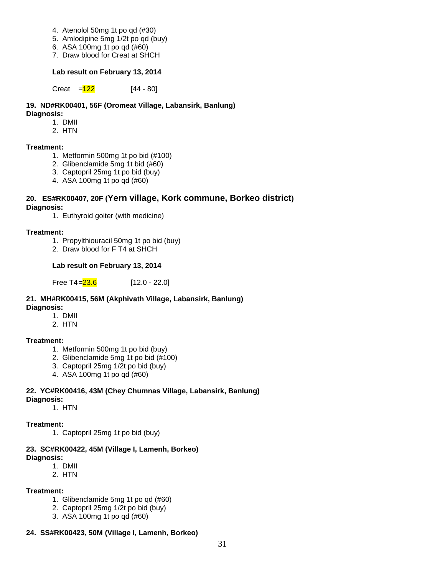- 4. Atenolol 50mg 1t po qd (#30)
- 5. Amlodipine 5mg 1/2t po qd (buy)
- 6. ASA 100mg 1t po qd (#60)
- 7. Draw blood for Creat at SHCH

#### **Lab result on February 13, 2014**

Creat  $=$   $\frac{122}{ }$  [44 - 80]

#### **19. ND#RK00401, 56F (Oromeat Village, Labansirk, Banlung) Diagnosis:**

- 1. DMII
- 2. HTN

#### **Treatment:**

- 1. Metformin 500mg 1t po bid (#100)
- 2. Glibenclamide 5mg 1t bid (#60)
- 3. Captopril 25mg 1t po bid (buy)
- 4. ASA 100mg 1t po qd (#60)

#### **20. ES#RK00407, 20F (Yern village, Kork commune, Borkeo district) Diagnosis:**

1. Euthyroid goiter (with medicine)

#### **Treatment:**

- 1. Propylthiouracil 50mg 1t po bid (buy)
- 2. Draw blood for F T4 at SHCH

#### **Lab result on February 13, 2014**

Free T4= $23.6$  [12.0 - 22.0]

### **21. MH#RK00415, 56M (Akphivath Village, Labansirk, Banlung)**

- **Diagnosis:**
	- 1. DMII
	- 2. HTN

#### **Treatment:**

- 1. Metformin 500mg 1t po bid (buy)
- 2. Glibenclamide 5mg 1t po bid (#100)
- 3. Captopril 25mg 1/2t po bid (buy)
- 4. ASA 100mg 1t po qd (#60)

#### **22. YC#RK00416, 43M (Chey Chumnas Village, Labansirk, Banlung) Diagnosis:**

1. HTN

#### **Treatment:**

1. Captopril 25mg 1t po bid (buy)

#### **23. SC#RK00422, 45M (Village I, Lamenh, Borkeo) Diagnosis:**

- 1. DMII
- 2. HTN

#### **Treatment:**

- 1. Glibenclamide 5mg 1t po qd (#60)
- 2. Captopril 25mg 1/2t po bid (buy)
- 3. ASA 100mg 1t po qd (#60)

#### **24. SS#RK00423, 50M (Village I, Lamenh, Borkeo)**